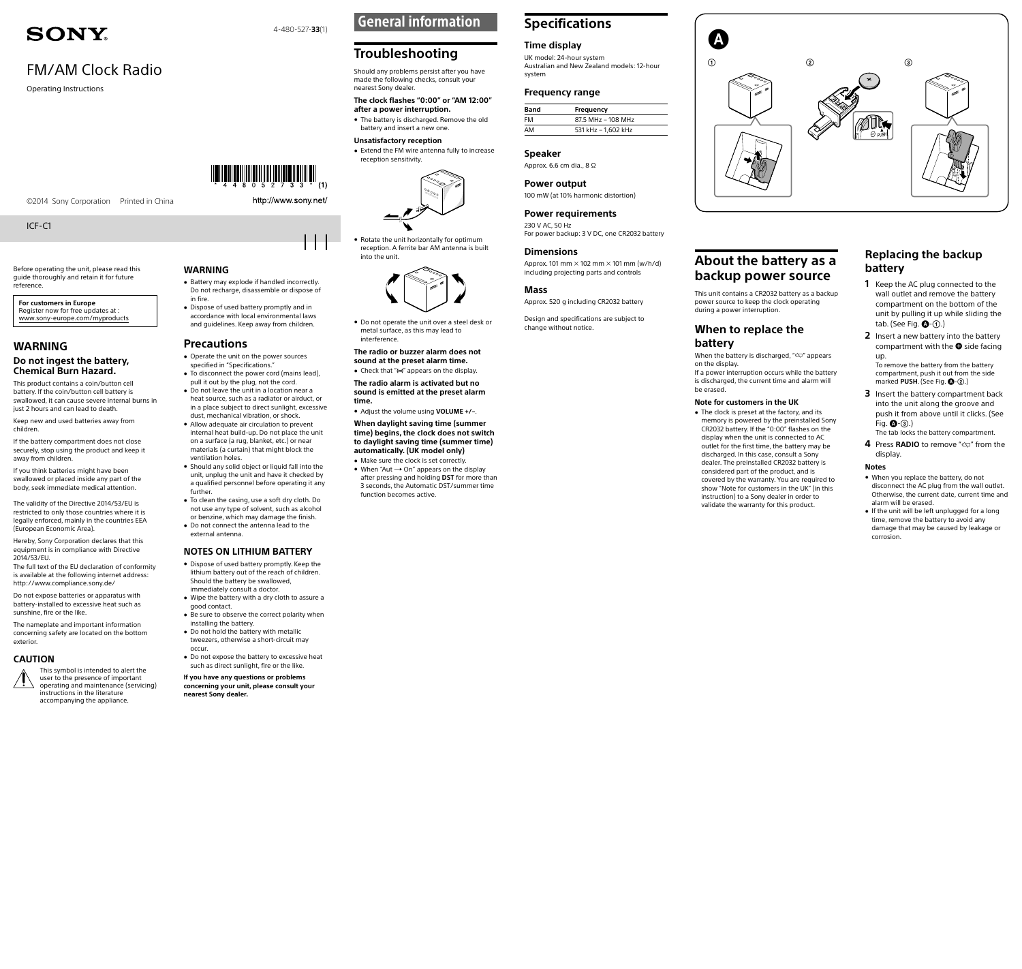# **SONY**

# FM/AM Clock Radio

Operating Instructions

#### ©2014 Sony Corporation Printed in China

ICF-C1

Before operating the unit, please read this guide thoroughly and retain it for future reference.

**For customers in Europe** Register now for free updates at : www.sony-europe.com/myproducts

## **WARNING**

#### **Do not ingest the battery, Chemical Burn Hazard.**

This product contains a coin/button cell battery. If the coin/button cell battery is swallowed, it can cause severe internal burns in just 2 hours and can lead to death

Keep new and used batteries away from children.

If the battery compartment does not close securely, stop using the product and keep it away from children.

If you think batteries might have been swallowed or placed inside any part of the body, seek immediate medical attention.

The validity of the Directive 2014/53/EU is restricted to only those countries where it is legally enforced, mainly in the countries EEA (European Economic Area).

Hereby, Sony Corporation declares that this equipment is in compliance with Directive 2014/53/EU.

The full text of the EU declaration of conformity is available at the following internet address: http://www.compliance.sony.de/

Do not expose batteries or apparatus with battery-installed to excessive heat such as sunshine, fire or the like.

The nameplate and important information concerning safety are located on the bottom exterior.

## **CAUTION**



## **WARNING**

#### • Battery may explode if handled incorrectly. Do not recharge, disassemble or dispose of in fire.

http://www.sony.net/

4-480-527-**33**(1)

 Dispose of used battery promptly and in accordance with local environmental laws and guidelines. Keep away from children.

#### **Precautions**

- Operate the unit on the power sources specified in "[Specifications](#page-0-0)."
- To disconnect the power cord (mains lead), pull it out by the plug, not the cord. Do not leave the unit in a location near a heat source, such as a radiator or airduct, or
- in a place subject to direct sunlight, excessive dust, mechanical vibration, or shock. Allow adequate air circulation to prevent
- internal heat build-up. Do not place the unit on a surface (a rug, blanket, etc.) or near materials (a curtain) that might block the ventilation holes. • Should any solid object or liquid fall into the
- unit, unplug the unit and have it checked by a qualified personnel before operating it any further.
- To clean the casing, use a soft dry cloth. Do not use any type of solvent, such as alcohol or benzine, which may damage the finish. Do not connect the antenna lead to the
- external antenna.

#### **NOTES ON LITHIUM BATTERY**

- Dispose of used battery promptly. Keep the lithium battery out of the reach of children. Should the battery be swallowed, immediately consult a doctor.
- Wipe the battery with a dry cloth to assure a good contact. Be sure to observe the correct polarity when
- installing the battery. Do not hold the battery with metallic
- tweezers, otherwise a short-circuit may occur.
- Do not expose the battery to excessive heat such as direct sunlight, fire or the like.

#### **If you have any questions or problems concerning your unit, please consult your nearest Sony dealer.**

## General information

## **Troubleshooting**

Should any problems persist after you have made the following checks, consult your

nearest Sony dealer. **The clock flashes "0:00" or "AM 12:00" after a power interruption.**

 The battery is discharged. Remove the old battery and insert a new one. **Unsatisfactory reception**

## Extend the FM wire antenna fully to increase

reception sensitivity.



#### Rotate the unit horizontally for optimum reception. A ferrite bar AM antenna is built into the unit.



• Do not operate the unit over a steel desk or metal surface, as this may lead to interference.

**The radio or buzzer alarm does not sound at the preset alarm time.**

• Check that "(•)" appears on the display.

**The radio alarm is activated but no sound is emitted at the preset alarm time.** 

 Adjust the volume using **VOLUME +/–**.

**When daylight saving time (summer time) begins, the clock does not switch to daylight saving time (summer time) automatically. (UK model only)**

 Make sure the clock is set correctly.  $\bullet$  When "Aut  $\rightarrow$  On" appears on the display after pressing and holding **DST** for more than 3 seconds, the Automatic DST/summer time function becomes active.

# <span id="page-0-0"></span>**Specifications**

## **Time display**

UK model: 24-hour system Australian and New Zealand models: 12-hour system

#### **Frequency range**

| Band | <b>Frequency</b>    |
|------|---------------------|
| FM   | 87.5 MHz - 108 MHz  |
| AM   | 531 kHz - 1,602 kHz |

## **Speaker**

Approx. 6.6 cm dia., 8 Ω

**Power output** 100 mW (at 10% harmonic distortion)

**Power requirements** 230 V AC, 50 Hz

For power backup: 3 V DC, one CR2032 battery

## **Dimensions**

**About the battery as a backup power source** Approx. 101 mm  $\times$  102 mm  $\times$  101 mm (w/h/d) including projecting parts and controls

## **Mass**

Design and specifications are subject to change without notice.

# Approx. 520 g including CR2032 battery



This unit contains a CR2032 battery as a backup power source to keep the clock operating

When the battery is discharged, " $\Delta$ " appears

If a power interruption occurs while the battery is discharged, the current time and alarm will

during a power interruption.

**battery**

on the display.

be erased.

**When to replace the** 

<span id="page-0-1"></span>**Note for customers in the UK** • The clock is preset at the factory, and its memory is powered by the preinstalled Sony CR2032 battery. If the "0:00" flashes on the display when the unit is connected to AC outlet for the first time, the battery may be discharged. In this case, consult a Sony dealer. The preinstalled CR2032 battery is considered part of the product, and is covered by the warranty. You are required to show "[Note for customers in the UK](#page-0-1)" (in this instruction) to a Sony dealer in order to validate the warranty for this product.

## **Replacing the backup battery**

- **1** Keep the AC plug connected to the wall outlet and remove the battery compartment on the bottom of the unit by pulling it up while sliding the tab. (See Fig.  $\bigcirc$ - $\bigcirc$ .)
- **2** Insert a new battery into the battery compartment with the  $\bigoplus$  side facing up.

To remove the battery from the battery compartment, push it out from the side marked **PUSH**. (See Fig.  $\bigcirc$ -2)

- **3** Insert the battery compartment back into the unit along the groove and push it from above until it clicks. (See Fig.  $\mathbf{Q}$ - $\mathbf{Q}$ .) The tab locks the battery compartment.
- **4** Press **RADIO** to remove "" from the display.

#### **Notes**

- When you replace the battery, do not disconnect the AC plug from the wall outlet. Otherwise, the current date, current time and alarm will be erased.
- If the unit will be left unplugged for a long time, remove the battery to avoid any damage that may be caused by leakage or corrosion.